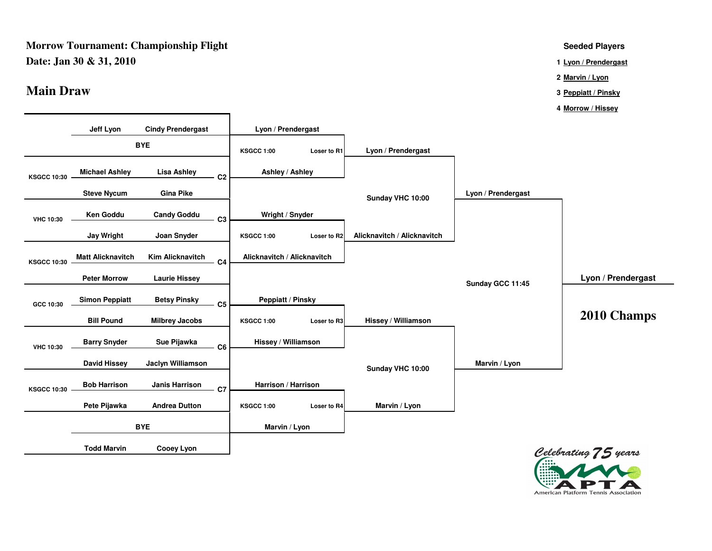#### **Morrow Tournament: Championship FlightDate: Jan 30 & 31, 2010<sup>1</sup>**

### **Main Draw<sup>3</sup>**

**Seeded Players**

**Lyon / Prendergast**

**2Marvin / Lyon**

- **Peppiatt / Pinsky**
- **4Morrow / Hissey**



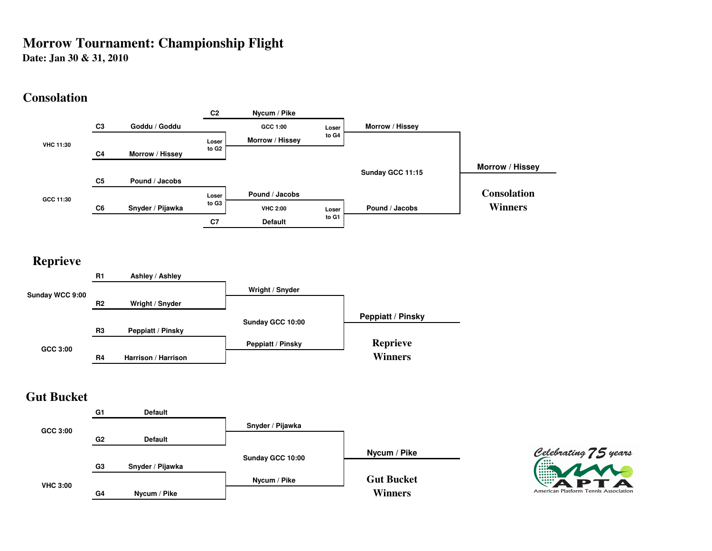# **Morrow Tournament: Championship Flight**

**Date: Jan 30 & 31, 2010**

# **Consolation**



# **Reprieve**



# **Gut Bucket**

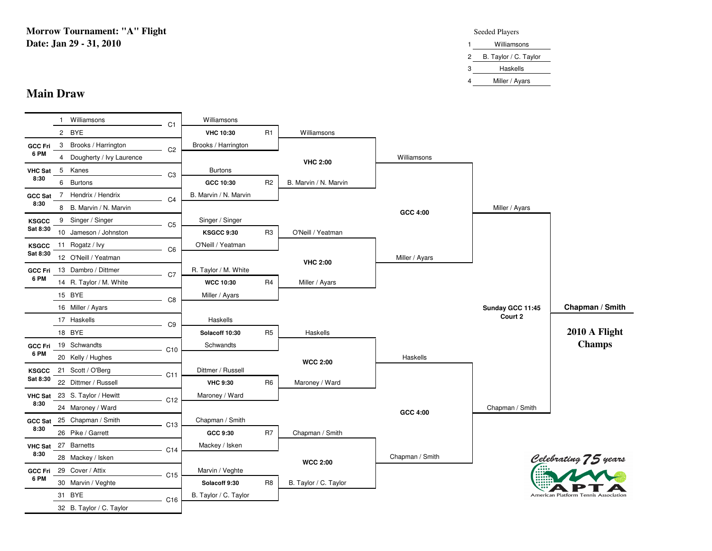**Morrow Tournament: "A" FlightDate: Jan 29 - 31, 2010**

#### Seeded Players

|   | Williamsons             |
|---|-------------------------|
|   | 2 B. Taylor / C. Taylor |
| 3 | Haskells                |
| 4 | Miller / Ayars          |

# **Main Draw**

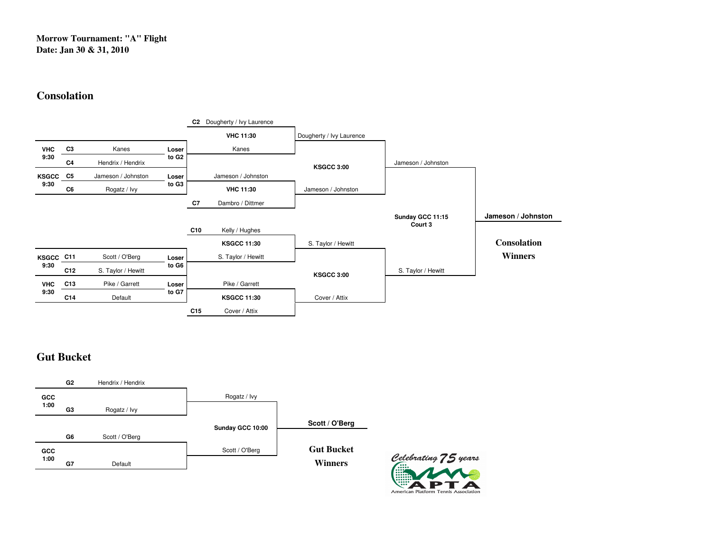### **Morrow Tournament: "A" FlightDate: Jan 30 & 31, 2010**

# **Consolation**



# **Gut Bucket**



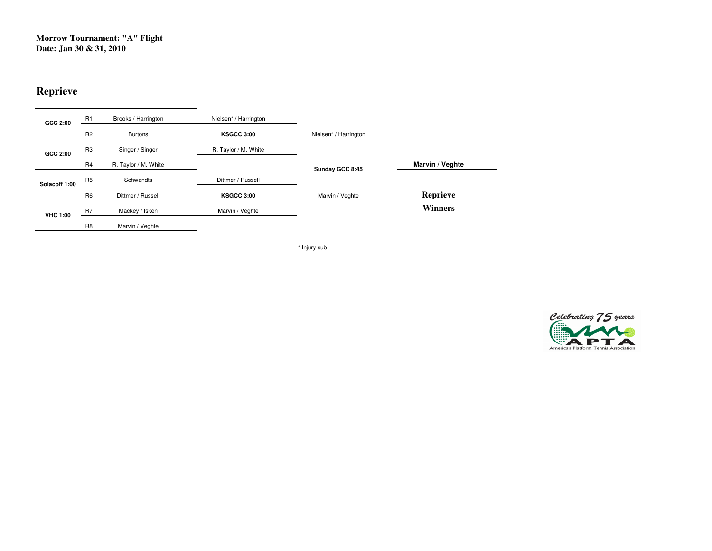**Morrow Tournament: "A" FlightDate: Jan 30 & 31, 2010**

# **Reprieve**

| GCC 2:00        | R <sub>1</sub> | Brooks / Harrington  | Nielsen* / Harrington |                       |                 |
|-----------------|----------------|----------------------|-----------------------|-----------------------|-----------------|
|                 | R <sub>2</sub> | <b>Burtons</b>       | <b>KSGCC 3:00</b>     | Nielsen* / Harrington |                 |
| GCC 2:00        | R <sub>3</sub> | Singer / Singer      | R. Taylor / M. White  |                       |                 |
|                 | <b>R4</b>      | R. Taylor / M. White |                       | Sunday GCC 8:45       | Marvin / Veghte |
| Solacoff 1:00   | R <sub>5</sub> | Schwandts            | Dittmer / Russell     |                       |                 |
|                 | R <sub>6</sub> | Dittmer / Russell    | <b>KSGCC 3:00</b>     | Marvin / Veghte       | <b>Reprieve</b> |
| <b>VHC 1:00</b> | R <sub>7</sub> | Mackey / Isken       | Marvin / Veghte       |                       | <b>Winners</b>  |
|                 | R <sub>8</sub> | Marvin / Veghte      |                       |                       |                 |

\* Injury sub

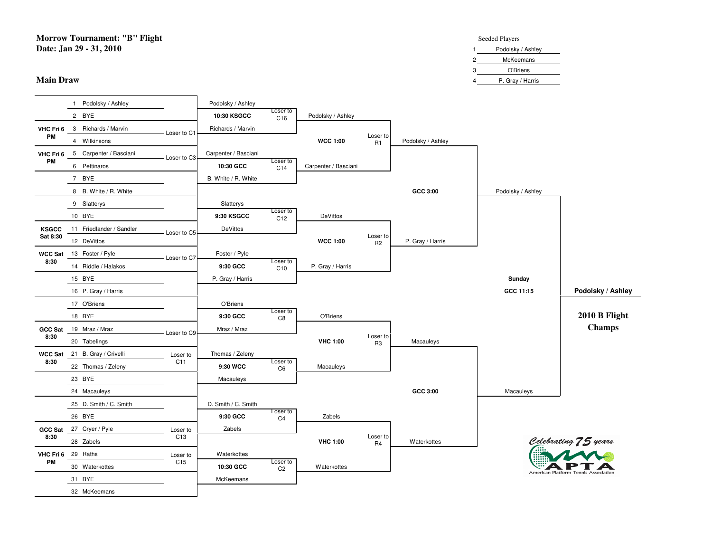**Morrow Tournament: "B" FlightDate: Jan 29 - 31, 2010**

#### **Main Draw**

#### **t** Seeded Players

|  |               | Podolsky / Ashley |
|--|---------------|-------------------|
|  | っ<br><u>.</u> | McKeemans         |
|  | 3             | O'Briens          |
|  | 4             | P. Gray / Harris  |